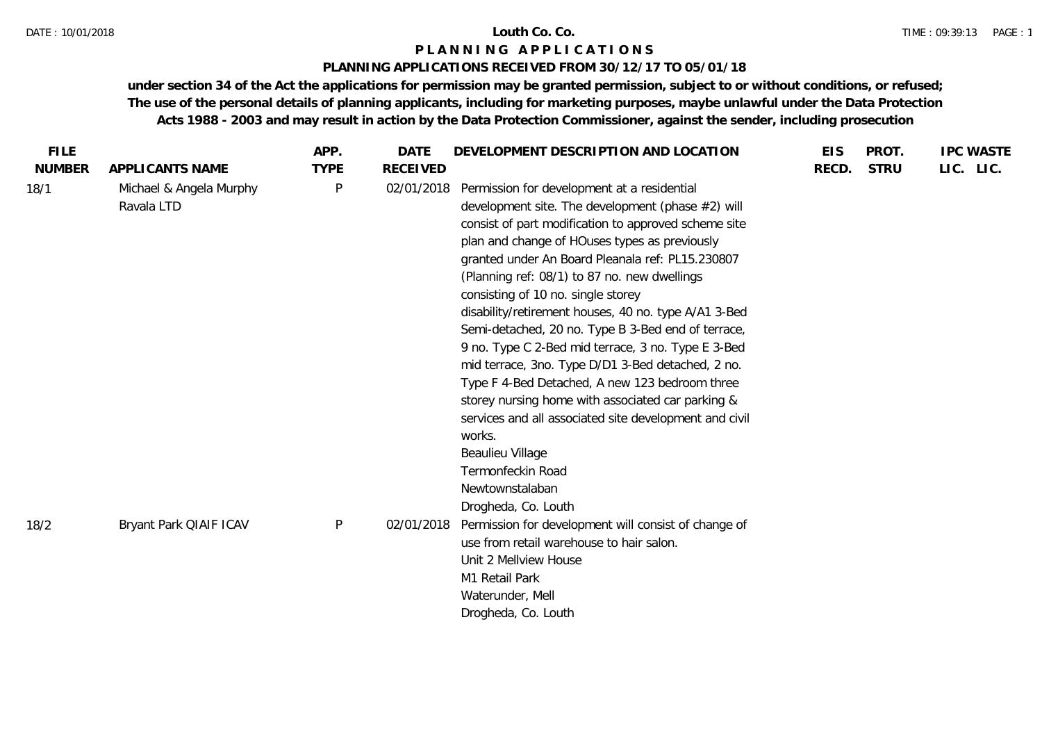#### DATE : 10/01/2018 **Louth Co. Co.**

## **P L A N N I N G A P P L I C A T I O N S**

## **PLANNING APPLICATIONS RECEIVED FROM 30/12/17 TO 05/01/18**

| <b>FILE</b>   |                                       | APP.         | <b>DATE</b>     | DEVELOPMENT DESCRIPTION AND LOCATION                                                                                                                                                                                                                                                                                                                                                                                                                                                                                                                                                                                                                                                                                                                                                                                                       | <b>EIS</b> | PROT.       | <b>IPC WASTE</b> |
|---------------|---------------------------------------|--------------|-----------------|--------------------------------------------------------------------------------------------------------------------------------------------------------------------------------------------------------------------------------------------------------------------------------------------------------------------------------------------------------------------------------------------------------------------------------------------------------------------------------------------------------------------------------------------------------------------------------------------------------------------------------------------------------------------------------------------------------------------------------------------------------------------------------------------------------------------------------------------|------------|-------------|------------------|
| <b>NUMBER</b> | APPLICANTS NAME                       | <b>TYPE</b>  | <b>RECEIVED</b> |                                                                                                                                                                                                                                                                                                                                                                                                                                                                                                                                                                                                                                                                                                                                                                                                                                            | RECD.      | <b>STRU</b> | LIC. LIC.        |
| 18/1          | Michael & Angela Murphy<br>Ravala LTD | P            | 02/01/2018      | Permission for development at a residential<br>development site. The development (phase #2) will<br>consist of part modification to approved scheme site<br>plan and change of HOuses types as previously<br>granted under An Board Pleanala ref: PL15.230807<br>(Planning ref: 08/1) to 87 no. new dwellings<br>consisting of 10 no. single storey<br>disability/retirement houses, 40 no. type A/A1 3-Bed<br>Semi-detached, 20 no. Type B 3-Bed end of terrace,<br>9 no. Type C 2-Bed mid terrace, 3 no. Type E 3-Bed<br>mid terrace, 3no. Type D/D1 3-Bed detached, 2 no.<br>Type F 4-Bed Detached, A new 123 bedroom three<br>storey nursing home with associated car parking &<br>services and all associated site development and civil<br>works.<br>Beaulieu Village<br>Termonfeckin Road<br>Newtownstalaban<br>Drogheda, Co. Louth |            |             |                  |
| 18/2          | Bryant Park QIAIF ICAV                | $\mathsf{P}$ | 02/01/2018      | Permission for development will consist of change of<br>use from retail warehouse to hair salon.<br>Unit 2 Mellview House<br>M1 Retail Park                                                                                                                                                                                                                                                                                                                                                                                                                                                                                                                                                                                                                                                                                                |            |             |                  |
|               |                                       |              |                 | Waterunder, Mell<br>Drogheda, Co. Louth                                                                                                                                                                                                                                                                                                                                                                                                                                                                                                                                                                                                                                                                                                                                                                                                    |            |             |                  |
|               |                                       |              |                 |                                                                                                                                                                                                                                                                                                                                                                                                                                                                                                                                                                                                                                                                                                                                                                                                                                            |            |             |                  |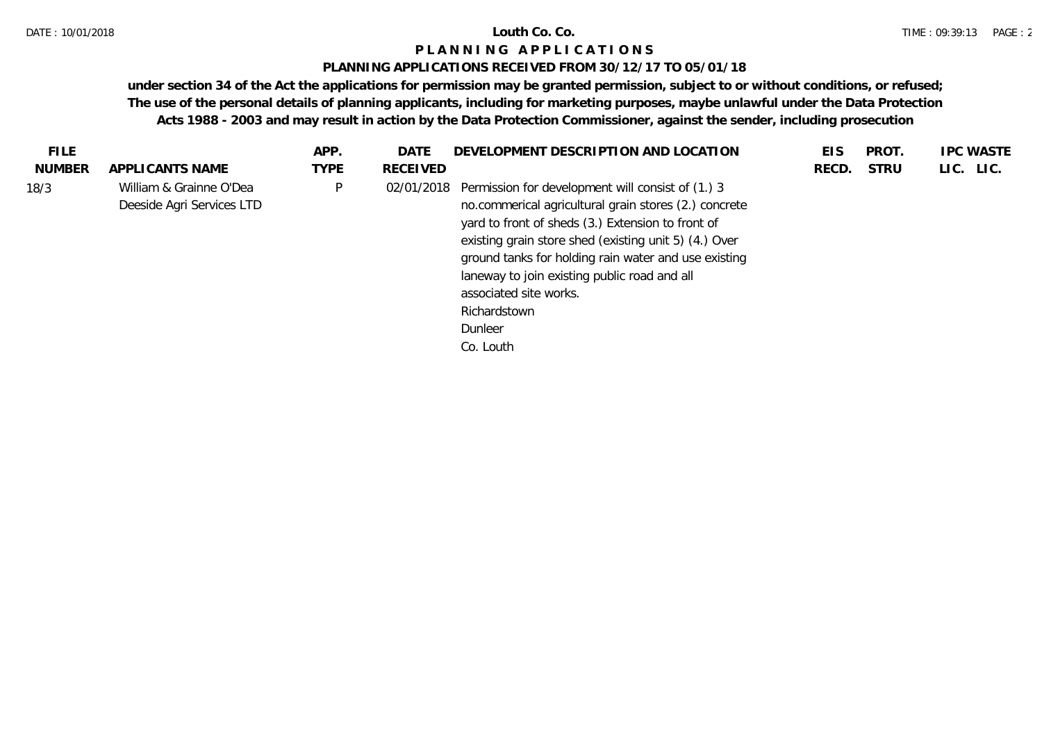#### DATE : 10/01/2018 **Louth Co. Co.**

## **P L A N N I N G A P P L I C A T I O N S**

## **PLANNING APPLICATIONS RECEIVED FROM 30/12/17 TO 05/01/18**

| FILE.         |                                                      | APP.        | DATE            | DEVELOPMENT DESCRIPTION AND LOCATION                                                                                                                                                                                                                                                                                                                                                                          | <b>EIS</b> | <b>PROT</b> | <b>IPC WASTE</b> |
|---------------|------------------------------------------------------|-------------|-----------------|---------------------------------------------------------------------------------------------------------------------------------------------------------------------------------------------------------------------------------------------------------------------------------------------------------------------------------------------------------------------------------------------------------------|------------|-------------|------------------|
| <b>NUMBER</b> | APPLICANTS NAME                                      | <b>TYPE</b> | <b>RECEIVED</b> |                                                                                                                                                                                                                                                                                                                                                                                                               | RECD.      | <b>STRU</b> | LIC. LIC.        |
| 18/3          | William & Grainne O'Dea<br>Deeside Agri Services LTD | <b>D</b>    |                 | 02/01/2018 Permission for development will consist of (1.) 3<br>no.commerical agricultural grain stores (2.) concrete<br>yard to front of sheds (3.) Extension to front of<br>existing grain store shed (existing unit 5) (4.) Over<br>ground tanks for holding rain water and use existing<br>laneway to join existing public road and all<br>associated site works.<br>Richardstown<br>Dunleer<br>Co. Louth |            |             |                  |
|               |                                                      |             |                 |                                                                                                                                                                                                                                                                                                                                                                                                               |            |             |                  |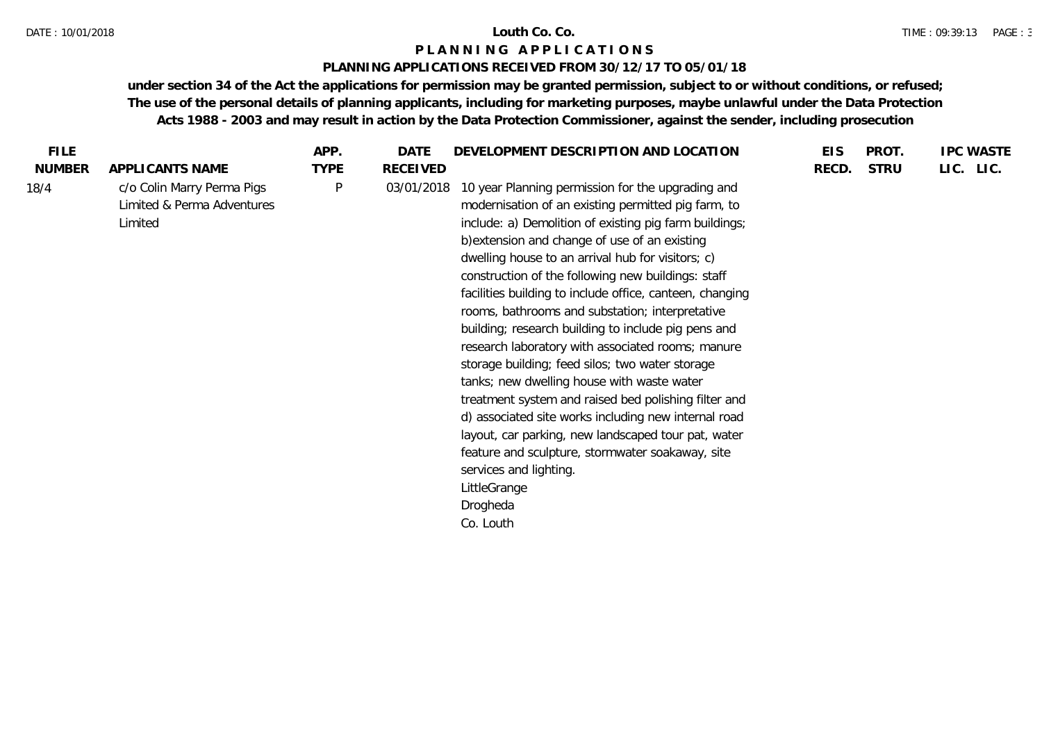#### DATE : 10/01/2018 **Louth Co. Co.**

# **P L A N N I N G A P P L I C A T I O N S**

## **PLANNING APPLICATIONS RECEIVED FROM 30/12/17 TO 05/01/18**

| <b>FILE</b>   |                                                                     | APP.        | DATE            | DEVELOPMENT DESCRIPTION AND LOCATION                                                                                                                                                                                                                                                                                                                                                                                                                                                                                                                                                                                                                                                                                                                                                                                                                                                                                                                     | <b>EIS</b> | PROT.       | <b>IPC WASTE</b> |
|---------------|---------------------------------------------------------------------|-------------|-----------------|----------------------------------------------------------------------------------------------------------------------------------------------------------------------------------------------------------------------------------------------------------------------------------------------------------------------------------------------------------------------------------------------------------------------------------------------------------------------------------------------------------------------------------------------------------------------------------------------------------------------------------------------------------------------------------------------------------------------------------------------------------------------------------------------------------------------------------------------------------------------------------------------------------------------------------------------------------|------------|-------------|------------------|
| <b>NUMBER</b> | APPLICANTS NAME                                                     | <b>TYPE</b> | <b>RECEIVED</b> |                                                                                                                                                                                                                                                                                                                                                                                                                                                                                                                                                                                                                                                                                                                                                                                                                                                                                                                                                          | RECD.      | <b>STRU</b> | LIC. LIC.        |
| 18/4          | c/o Colin Marry Perma Pigs<br>Limited & Perma Adventures<br>Limited | P           | 03/01/2018      | 10 year Planning permission for the upgrading and<br>modernisation of an existing permitted pig farm, to<br>include: a) Demolition of existing pig farm buildings;<br>b) extension and change of use of an existing<br>dwelling house to an arrival hub for visitors; c)<br>construction of the following new buildings: staff<br>facilities building to include office, canteen, changing<br>rooms, bathrooms and substation; interpretative<br>building; research building to include pig pens and<br>research laboratory with associated rooms; manure<br>storage building; feed silos; two water storage<br>tanks; new dwelling house with waste water<br>treatment system and raised bed polishing filter and<br>d) associated site works including new internal road<br>layout, car parking, new landscaped tour pat, water<br>feature and sculpture, stormwater soakaway, site<br>services and lighting.<br>LittleGrange<br>Drogheda<br>Co. Louth |            |             |                  |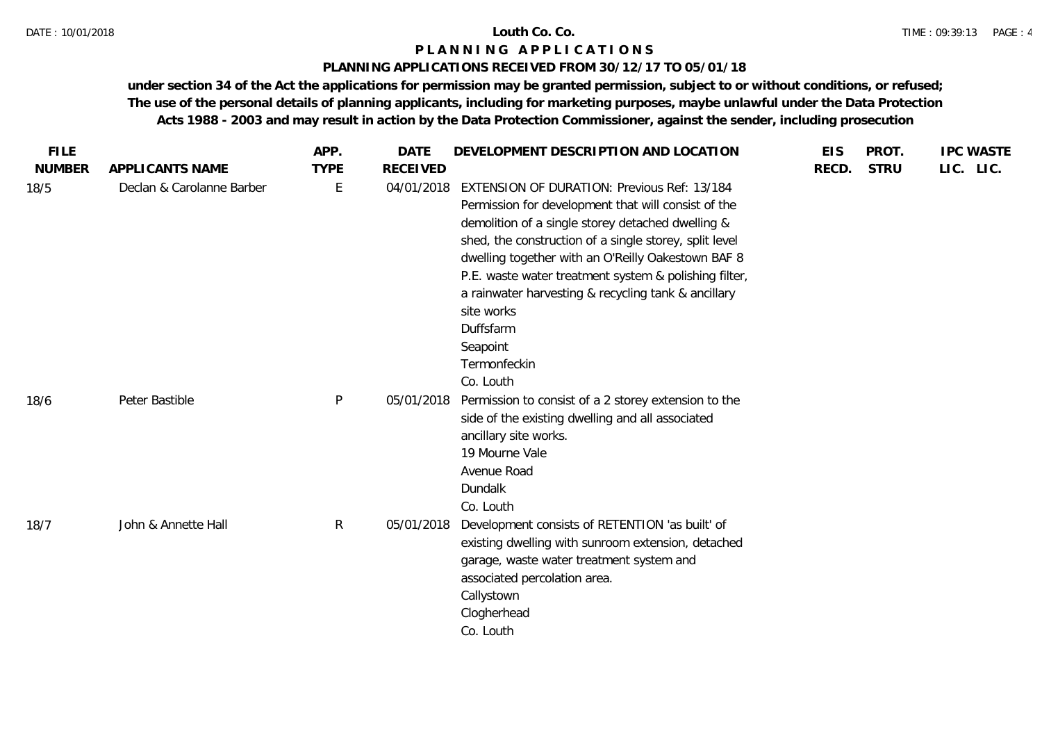## **P L A N N I N G A P P L I C A T I O N S**

## **PLANNING APPLICATIONS RECEIVED FROM 30/12/17 TO 05/01/18**

| <b>FILE</b>   |                           | APP.         | <b>DATE</b>     | DEVELOPMENT DESCRIPTION AND LOCATION                                                                                                                                                                                                                                                                                                                                                                                                                               | <b>EIS</b> | PROT.       | <b>IPC WASTE</b> |  |
|---------------|---------------------------|--------------|-----------------|--------------------------------------------------------------------------------------------------------------------------------------------------------------------------------------------------------------------------------------------------------------------------------------------------------------------------------------------------------------------------------------------------------------------------------------------------------------------|------------|-------------|------------------|--|
| <b>NUMBER</b> | APPLICANTS NAME           | <b>TYPE</b>  | <b>RECEIVED</b> |                                                                                                                                                                                                                                                                                                                                                                                                                                                                    | RECD.      | <b>STRU</b> | LIC. LIC.        |  |
| 18/5          | Declan & Carolanne Barber | E            | 04/01/2018      | <b>EXTENSION OF DURATION: Previous Ref: 13/184</b><br>Permission for development that will consist of the<br>demolition of a single storey detached dwelling &<br>shed, the construction of a single storey, split level<br>dwelling together with an O'Reilly Oakestown BAF 8<br>P.E. waste water treatment system & polishing filter,<br>a rainwater harvesting & recycling tank & ancillary<br>site works<br>Duffsfarm<br>Seapoint<br>Termonfeckin<br>Co. Louth |            |             |                  |  |
| 18/6          | Peter Bastible            | P            | 05/01/2018      | Permission to consist of a 2 storey extension to the<br>side of the existing dwelling and all associated<br>ancillary site works.<br>19 Mourne Vale<br>Avenue Road<br>Dundalk<br>Co. Louth                                                                                                                                                                                                                                                                         |            |             |                  |  |
| 18/7          | John & Annette Hall       | $\mathsf{R}$ | 05/01/2018      | Development consists of RETENTION 'as built' of<br>existing dwelling with sunroom extension, detached<br>garage, waste water treatment system and<br>associated percolation area.<br>Callystown<br>Clogherhead<br>Co. Louth                                                                                                                                                                                                                                        |            |             |                  |  |